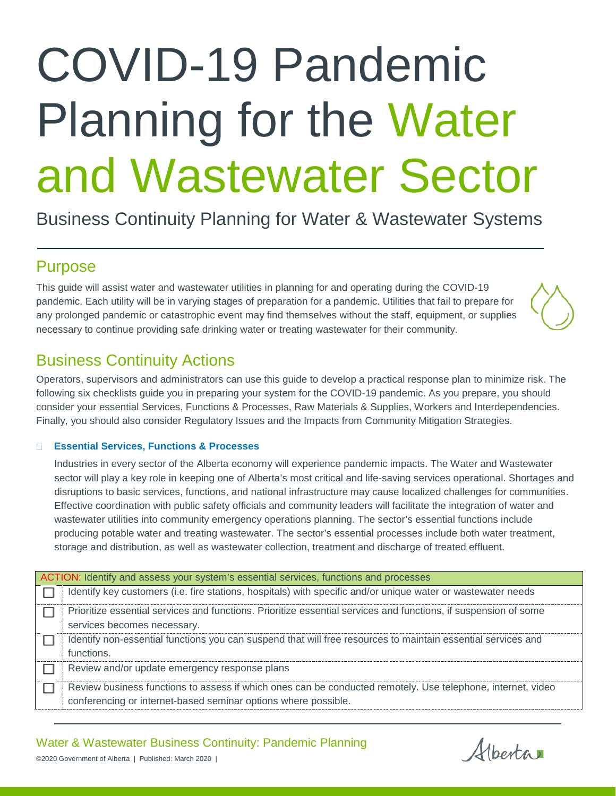# COVID-19 Pandemic Planning for the Water and Wastewater Sector

Business Continuity Planning for Water & Wastewater Systems

## Purpose

This guide will assist water and wastewater utilities in planning for and operating during the COVID-19 pandemic. Each utility will be in varying stages of preparation for a pandemic. Utilities that fail to prepare for any prolonged pandemic or catastrophic event may find themselves without the staff, equipment, or supplies necessary to continue providing safe drinking water or treating wastewater for their community.

## Business Continuity Actions

Operators, supervisors and administrators can use this guide to develop a practical response plan to minimize risk. The following six checklists guide you in preparing your system for the COVID-19 pandemic. As you prepare, you should consider your essential Services, Functions & Processes, Raw Materials & Supplies, Workers and Interdependencies. Finally, you should also consider Regulatory Issues and the Impacts from Community Mitigation Strategies.

#### **Essential Services, Functions & Processes**

Industries in every sector of the Alberta economy will experience pandemic impacts. The Water and Wastewater sector will play a key role in keeping one of Alberta's most critical and life-saving services operational. Shortages and disruptions to basic services, functions, and national infrastructure may cause localized challenges for communities. Effective coordination with public safety officials and community leaders will facilitate the integration of water and wastewater utilities into community emergency operations planning. The sector's essential functions include producing potable water and treating wastewater. The sector's essential processes include both water treatment, storage and distribution, as well as wastewater collection, treatment and discharge of treated effluent.

| ACTION: Identify and assess your system's essential services, functions and processes |                                                                                                                                                                               |
|---------------------------------------------------------------------------------------|-------------------------------------------------------------------------------------------------------------------------------------------------------------------------------|
|                                                                                       | Identify key customers (i.e. fire stations, hospitals) with specific and/or unique water or wastewater needs                                                                  |
|                                                                                       | Prioritize essential services and functions. Prioritize essential services and functions, if suspension of some<br>services becomes necessary.                                |
|                                                                                       | Identify non-essential functions you can suspend that will free resources to maintain essential services and<br>functions.                                                    |
|                                                                                       | Review and/or update emergency response plans                                                                                                                                 |
|                                                                                       | Review business functions to assess if which ones can be conducted remotely. Use telephone, internet, video<br>conferencing or internet-based seminar options where possible. |

Water & Wastewater Business Continuity: Pandemic Planning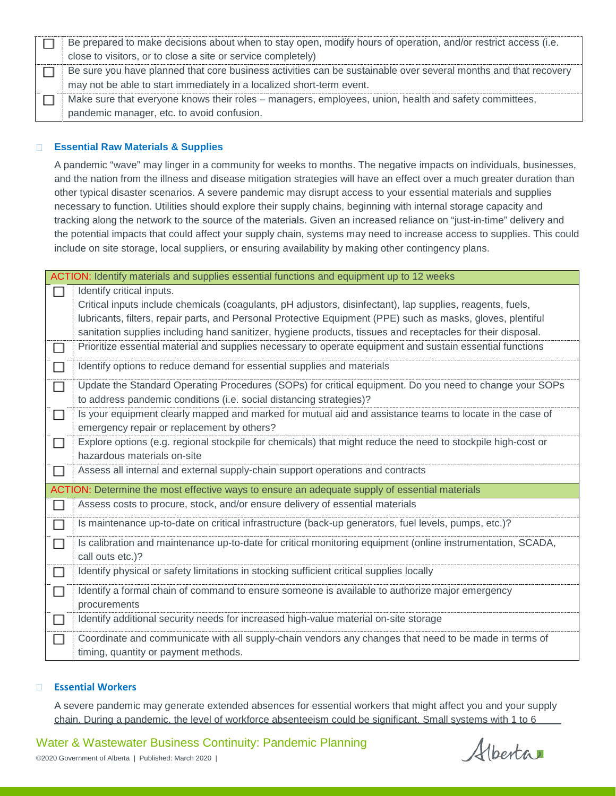| Be prepared to make decisions about when to stay open, modify hours of operation, and/or restrict access (i.e.  |
|-----------------------------------------------------------------------------------------------------------------|
| close to visitors, or to close a site or service completely)                                                    |
| Be sure you have planned that core business activities can be sustainable over several months and that recovery |
| may not be able to start immediately in a localized short-term event.                                           |
| Make sure that everyone knows their roles - managers, employees, union, health and safety committees,           |
| pandemic manager, etc. to avoid confusion.                                                                      |

#### **Essential Raw Materials & Supplies**

A pandemic "wave" may linger in a community for weeks to months. The negative impacts on individuals, businesses, and the nation from the illness and disease mitigation strategies will have an effect over a much greater duration than other typical disaster scenarios. A severe pandemic may disrupt access to your essential materials and supplies necessary to function. Utilities should explore their supply chains, beginning with internal storage capacity and tracking along the network to the source of the materials. Given an increased reliance on "just-in-time" delivery and the potential impacts that could affect your supply chain, systems may need to increase access to supplies. This could include on site storage, local suppliers, or ensuring availability by making other contingency plans.

| ACTION: Identify materials and supplies essential functions and equipment up to 12 weeks |                                                                                                              |
|------------------------------------------------------------------------------------------|--------------------------------------------------------------------------------------------------------------|
|                                                                                          | Identify critical inputs.                                                                                    |
|                                                                                          | Critical inputs include chemicals (coagulants, pH adjustors, disinfectant), lap supplies, reagents, fuels,   |
|                                                                                          | lubricants, filters, repair parts, and Personal Protective Equipment (PPE) such as masks, gloves, plentiful  |
|                                                                                          | sanitation supplies including hand sanitizer, hygiene products, tissues and receptacles for their disposal.  |
| $\Box$                                                                                   | Prioritize essential material and supplies necessary to operate equipment and sustain essential functions    |
| $\Box$                                                                                   | Identify options to reduce demand for essential supplies and materials                                       |
| $\Box$                                                                                   | Update the Standard Operating Procedures (SOPs) for critical equipment. Do you need to change your SOPs      |
|                                                                                          | to address pandemic conditions (i.e. social distancing strategies)?                                          |
| П                                                                                        | Is your equipment clearly mapped and marked for mutual aid and assistance teams to locate in the case of     |
|                                                                                          | emergency repair or replacement by others?                                                                   |
| $\Box$                                                                                   | Explore options (e.g. regional stockpile for chemicals) that might reduce the need to stockpile high-cost or |
|                                                                                          | hazardous materials on-site                                                                                  |
| □                                                                                        | Assess all internal and external supply-chain support operations and contracts                               |
|                                                                                          | ACTION: Determine the most effective ways to ensure an adequate supply of essential materials                |
| $\Box$                                                                                   | Assess costs to procure, stock, and/or ensure delivery of essential materials                                |
| □                                                                                        | Is maintenance up-to-date on critical infrastructure (back-up generators, fuel levels, pumps, etc.)?         |
| $\Box$                                                                                   | Is calibration and maintenance up-to-date for critical monitoring equipment (online instrumentation, SCADA,  |
|                                                                                          | call outs etc.)?                                                                                             |
| $\Box$                                                                                   | Identify physical or safety limitations in stocking sufficient critical supplies locally                     |
| □                                                                                        | Identify a formal chain of command to ensure someone is available to authorize major emergency               |
|                                                                                          | procurements                                                                                                 |
| □                                                                                        | Identify additional security needs for increased high-value material on-site storage                         |
| П                                                                                        | Coordinate and communicate with all supply-chain vendors any changes that need to be made in terms of        |
|                                                                                          | timing, quantity or payment methods.                                                                         |

#### **Essential Workers**

A severe pandemic may generate extended absences for essential workers that might affect you and your supply chain. During a pandemic, the level of workforce absenteeism could be significant. Small systems with 1 to 6

Water & Wastewater Business Continuity: Pandemic Planning

©2020 Government of Alberta | Published: March 2020 |

Alberta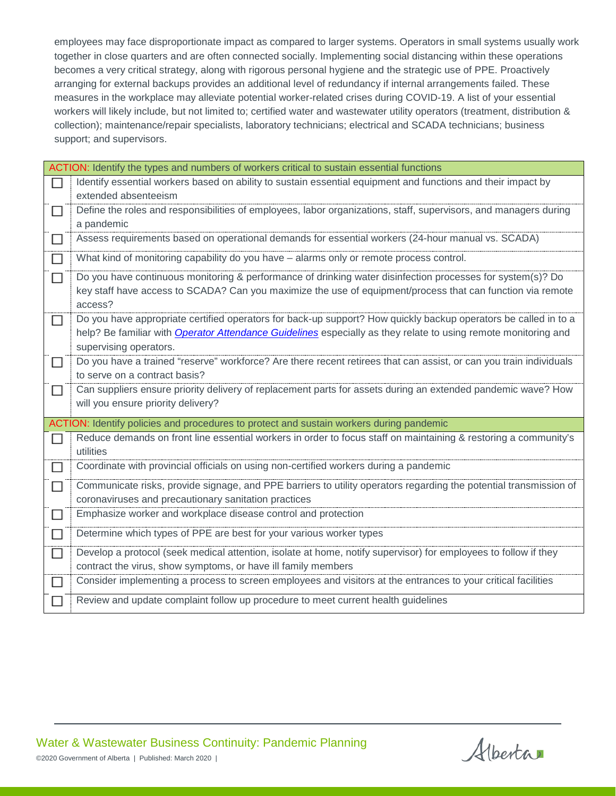employees may face disproportionate impact as compared to larger systems. Operators in small systems usually work together in close quarters and are often connected socially. Implementing social distancing within these operations becomes a very critical strategy, along with rigorous personal hygiene and the strategic use of PPE. Proactively arranging for external backups provides an additional level of redundancy if internal arrangements failed. These measures in the workplace may alleviate potential worker-related crises during COVID-19. A list of your essential workers will likely include, but not limited to; certified water and wastewater utility operators (treatment, distribution & collection); maintenance/repair specialists, laboratory technicians; electrical and SCADA technicians; business support; and supervisors.

|        | ACTION: Identify the types and numbers of workers critical to sustain essential functions                             |
|--------|-----------------------------------------------------------------------------------------------------------------------|
| П      | Identify essential workers based on ability to sustain essential equipment and functions and their impact by          |
|        | extended absenteeism                                                                                                  |
| $\Box$ | Define the roles and responsibilities of employees, labor organizations, staff, supervisors, and managers during      |
|        | a pandemic                                                                                                            |
| □      | Assess requirements based on operational demands for essential workers (24-hour manual vs. SCADA)                     |
| □      | What kind of monitoring capability do you have - alarms only or remote process control.                               |
| П      | Do you have continuous monitoring & performance of drinking water disinfection processes for system(s)? Do            |
|        | key staff have access to SCADA? Can you maximize the use of equipment/process that can function via remote<br>access? |
|        |                                                                                                                       |
| □      | Do you have appropriate certified operators for back-up support? How quickly backup operators be called in to a       |
|        | help? Be familiar with Operator Attendance Guidelines especially as they relate to using remote monitoring and        |
|        | supervising operators.                                                                                                |
| □      | Do you have a trained "reserve" workforce? Are there recent retirees that can assist, or can you train individuals    |
|        | to serve on a contract basis?                                                                                         |
| □      | Can suppliers ensure priority delivery of replacement parts for assets during an extended pandemic wave? How          |
|        | will you ensure priority delivery?                                                                                    |
|        | ACTION: Identify policies and procedures to protect and sustain workers during pandemic                               |
| П      | Reduce demands on front line essential workers in order to focus staff on maintaining & restoring a community's       |
|        | utilities                                                                                                             |
| □      | Coordinate with provincial officials on using non-certified workers during a pandemic                                 |
| □      | Communicate risks, provide signage, and PPE barriers to utility operators regarding the potential transmission of     |
|        | coronaviruses and precautionary sanitation practices                                                                  |
| □      | Emphasize worker and workplace disease control and protection                                                         |
| □      | Determine which types of PPE are best for your various worker types                                                   |
| □      | Develop a protocol (seek medical attention, isolate at home, notify supervisor) for employees to follow if they       |
|        | contract the virus, show symptoms, or have ill family members                                                         |
| П      | Consider implementing a process to screen employees and visitors at the entrances to your critical facilities         |
| □      | Review and update complaint follow up procedure to meet current health guidelines                                     |

Water & Wastewater Business Continuity: Pandemic Planning ©2020 Government of Alberta | Published: March 2020 |

Alberta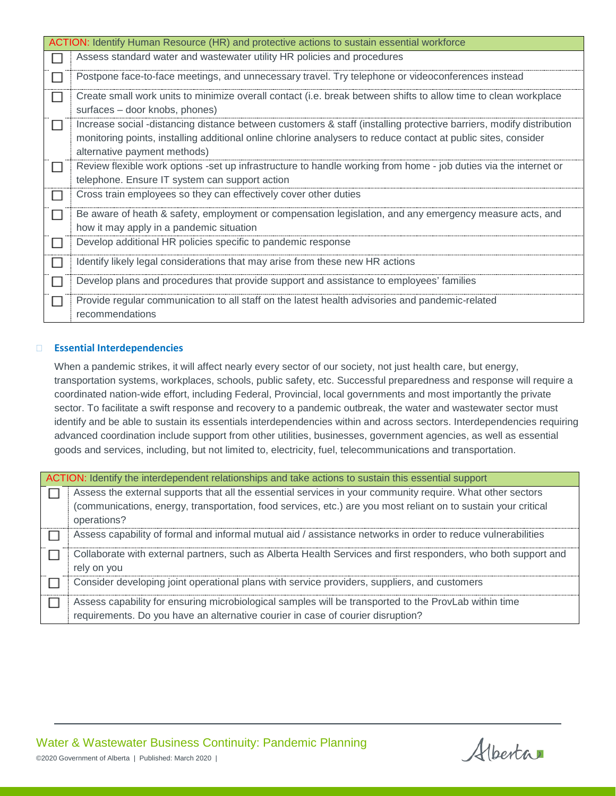| ACTION: Identify Human Resource (HR) and protective actions to sustain essential workforce |                                                                                                                     |
|--------------------------------------------------------------------------------------------|---------------------------------------------------------------------------------------------------------------------|
|                                                                                            | Assess standard water and wastewater utility HR policies and procedures                                             |
|                                                                                            | Postpone face-to-face meetings, and unnecessary travel. Try telephone or videoconferences instead                   |
| $\mathsf{L}$                                                                               | Create small work units to minimize overall contact (i.e. break between shifts to allow time to clean workplace     |
|                                                                                            | surfaces - door knobs, phones)                                                                                      |
| $\mathsf{L}$                                                                               | Increase social -distancing distance between customers & staff (installing protective barriers, modify distribution |
|                                                                                            | monitoring points, installing additional online chlorine analysers to reduce contact at public sites, consider      |
|                                                                                            | alternative payment methods)                                                                                        |
| П                                                                                          | Review flexible work options -set up infrastructure to handle working from home - job duties via the internet or    |
|                                                                                            | telephone. Ensure IT system can support action                                                                      |
| $\mathsf{L}$                                                                               | Cross train employees so they can effectively cover other duties                                                    |
| $\mathsf{L}$                                                                               | Be aware of heath & safety, employment or compensation legislation, and any emergency measure acts, and             |
|                                                                                            | how it may apply in a pandemic situation                                                                            |
|                                                                                            | Develop additional HR policies specific to pandemic response                                                        |
|                                                                                            | Identify likely legal considerations that may arise from these new HR actions                                       |
|                                                                                            | Develop plans and procedures that provide support and assistance to employees' families                             |
|                                                                                            | Provide regular communication to all staff on the latest health advisories and pandemic-related                     |
|                                                                                            | recommendations                                                                                                     |

#### **Essential Interdependencies**

When a pandemic strikes, it will affect nearly every sector of our society, not just health care, but energy, transportation systems, workplaces, schools, public safety, etc. Successful preparedness and response will require a coordinated nation-wide effort, including Federal, Provincial, local governments and most importantly the private sector. To facilitate a swift response and recovery to a pandemic outbreak, the water and wastewater sector must identify and be able to sustain its essentials interdependencies within and across sectors. Interdependencies requiring advanced coordination include support from other utilities, businesses, government agencies, as well as essential goods and services, including, but not limited to, electricity, fuel, telecommunications and transportation.

| ACTION: Identify the interdependent relationships and take actions to sustain this essential support |                                                                                                                |
|------------------------------------------------------------------------------------------------------|----------------------------------------------------------------------------------------------------------------|
|                                                                                                      | Assess the external supports that all the essential services in your community require. What other sectors     |
|                                                                                                      | (communications, energy, transportation, food services, etc.) are you most reliant on to sustain your critical |
|                                                                                                      | operations?                                                                                                    |
|                                                                                                      | Assess capability of formal and informal mutual aid / assistance networks in order to reduce vulnerabilities   |
|                                                                                                      | Collaborate with external partners, such as Alberta Health Services and first responders, who both support and |
|                                                                                                      | rely on you                                                                                                    |
|                                                                                                      | Consider developing joint operational plans with service providers, suppliers, and customers                   |
|                                                                                                      | Assess capability for ensuring microbiological samples will be transported to the ProvLab within time          |
|                                                                                                      | requirements. Do you have an alternative courier in case of courier disruption?                                |

Water & Wastewater Business Continuity: Pandemic Planning ©2020 Government of Alberta | Published: March 2020 |

Alberta